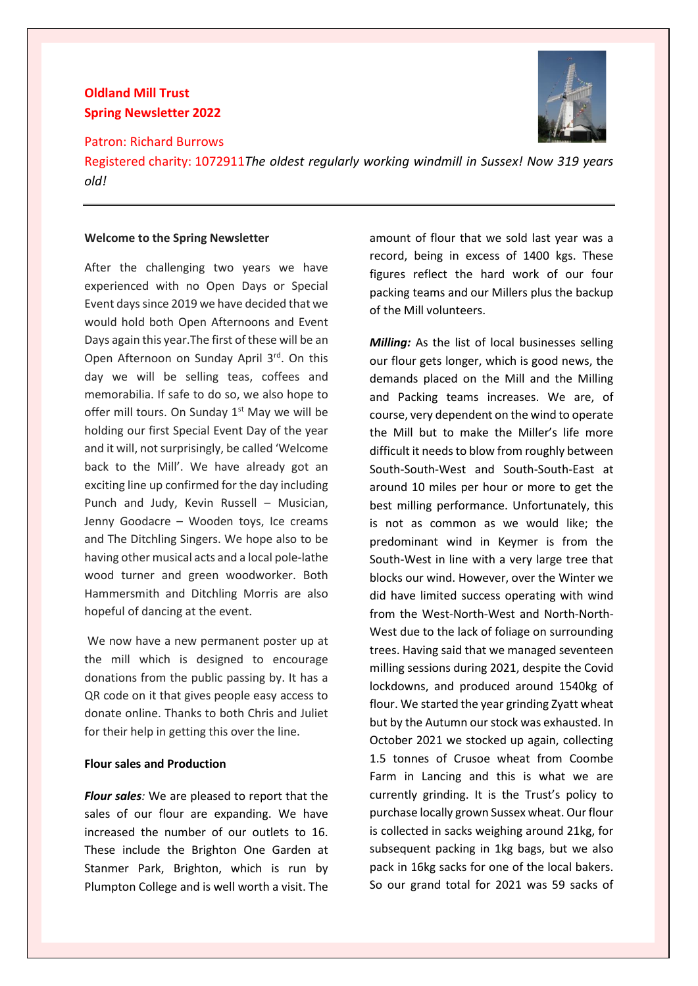# **Oldland Mill Trust Spring Newsletter 2022**

Patron: Richard Burrows



Registered charity: 1072911*The oldest regularly working windmill in Sussex! Now 319 years old!*

#### **Welcome to the Spring Newsletter**

After the challenging two years we have experienced with no Open Days or Special Event days since 2019 we have decided that we would hold both Open Afternoons and Event Days again this year.The first of these will be an Open Afternoon on Sunday April 3rd. On this day we will be selling teas, coffees and memorabilia. If safe to do so, we also hope to offer mill tours. On Sunday  $1<sup>st</sup>$  May we will be holding our first Special Event Day of the year and it will, not surprisingly, be called 'Welcome back to the Mill'. We have already got an exciting line up confirmed for the day including Punch and Judy, Kevin Russell – Musician, Jenny Goodacre – Wooden toys, Ice creams and The Ditchling Singers. We hope also to be having other musical acts and a local pole-lathe wood turner and green woodworker. Both Hammersmith and Ditchling Morris are also hopeful of dancing at the event.

We now have a new permanent poster up at the mill which is designed to encourage donations from the public passing by. It has a QR code on it that gives people easy access to donate online. Thanks to both Chris and Juliet for their help in getting this over the line.

## **Flour sales and Production**

*Flour sales:* We are pleased to report that the sales of our flour are expanding. We have increased the number of our outlets to 16. These include the Brighton One Garden at Stanmer Park, Brighton, which is run by Plumpton College and is well worth a visit. The

amount of flour that we sold last year was a record, being in excess of 1400 kgs. These figures reflect the hard work of our four packing teams and our Millers plus the backup of the Mill volunteers.

*Milling:* As the list of local businesses selling our flour gets longer, which is good news, the demands placed on the Mill and the Milling and Packing teams increases. We are, of course, very dependent on the wind to operate the Mill but to make the Miller's life more difficult it needs to blow from roughly between South-South-West and South-South-East at around 10 miles per hour or more to get the best milling performance. Unfortunately, this is not as common as we would like; the predominant wind in Keymer is from the South-West in line with a very large tree that blocks our wind. However, over the Winter we did have limited success operating with wind from the West-North-West and North-North-West due to the lack of foliage on surrounding trees. Having said that we managed seventeen milling sessions during 2021, despite the Covid lockdowns, and produced around 1540kg of flour. We started the year grinding Zyatt wheat but by the Autumn our stock was exhausted. In October 2021 we stocked up again, collecting 1.5 tonnes of Crusoe wheat from Coombe Farm in Lancing and this is what we are currently grinding. It is the Trust's policy to purchase locally grown Sussex wheat. Our flour is collected in sacks weighing around 21kg, for subsequent packing in 1kg bags, but we also pack in 16kg sacks for one of the local bakers. So our grand total for 2021 was 59 sacks of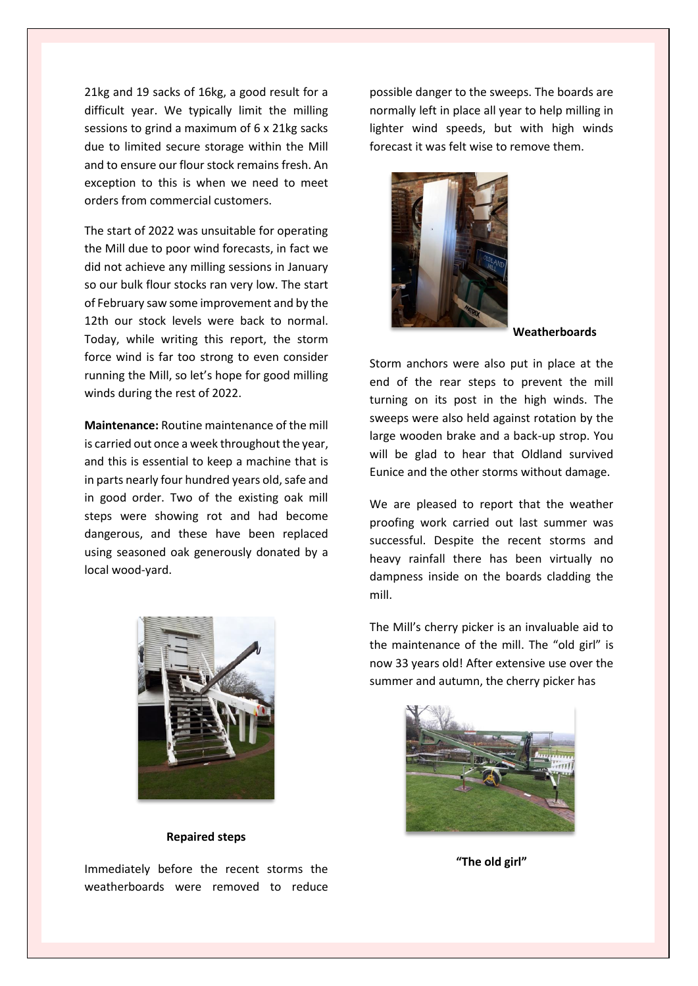21kg and 19 sacks of 16kg, a good result for a difficult year. We typically limit the milling sessions to grind a maximum of 6 x 21kg sacks due to limited secure storage within the Mill and to ensure our flour stock remains fresh. An exception to this is when we need to meet orders from commercial customers.

The start of 2022 was unsuitable for operating the Mill due to poor wind forecasts, in fact we did not achieve any milling sessions in January so our bulk flour stocks ran very low. The start of February saw some improvement and by the 12th our stock levels were back to normal. Today, while writing this report, the storm force wind is far too strong to even consider running the Mill, so let's hope for good milling winds during the rest of 2022.

**Maintenance:** Routine maintenance of the mill is carried out once a week throughout the year, and this is essential to keep a machine that is in parts nearly four hundred years old, safe and in good order. Two of the existing oak mill steps were showing rot and had become dangerous, and these have been replaced using seasoned oak generously donated by a local wood-yard.



#### **Repaired steps**

Immediately before the recent storms the weatherboards were removed to reduce

possible danger to the sweeps. The boards are normally left in place all year to help milling in lighter wind speeds, but with high winds forecast it was felt wise to remove them.



**Weatherboards**

Storm anchors were also put in place at the end of the rear steps to prevent the mill turning on its post in the high winds. The sweeps were also held against rotation by the large wooden brake and a back-up strop. You will be glad to hear that Oldland survived Eunice and the other storms without damage.

We are pleased to report that the weather proofing work carried out last summer was successful. Despite the recent storms and heavy rainfall there has been virtually no dampness inside on the boards cladding the mill.

The Mill's cherry picker is an invaluable aid to the maintenance of the mill. The "old girl" is now 33 years old! After extensive use over the summer and autumn, the cherry picker has



**"The old girl"**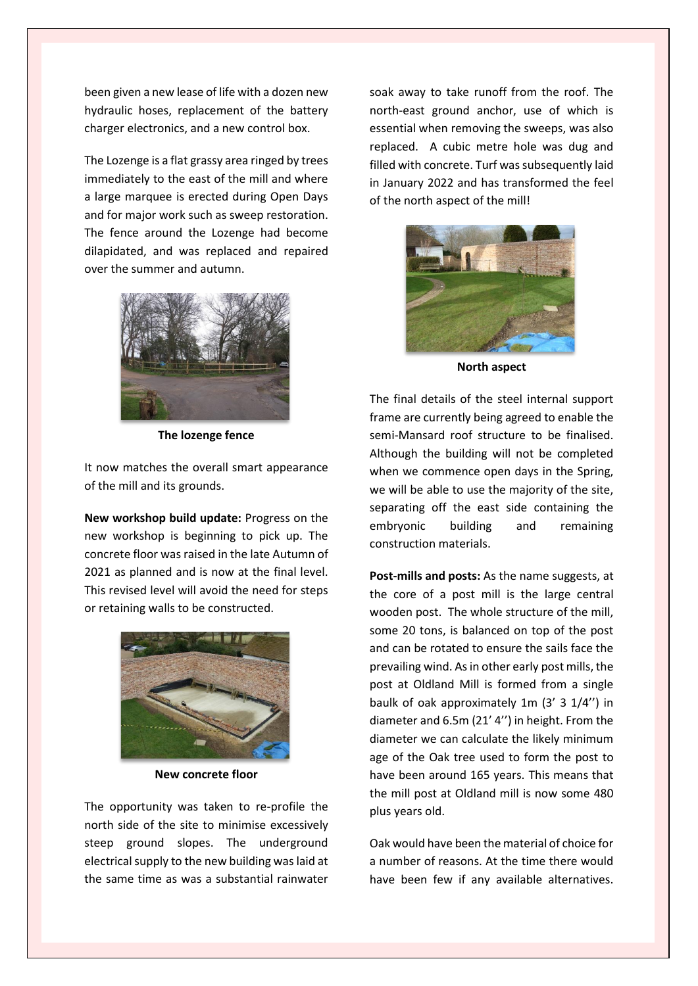been given a new lease of life with a dozen new hydraulic hoses, replacement of the battery charger electronics, and a new control box.

The Lozenge is a flat grassy area ringed by trees immediately to the east of the mill and where a large marquee is erected during Open Days and for major work such as sweep restoration. The fence around the Lozenge had become dilapidated, and was replaced and repaired over the summer and autumn.



**The lozenge fence**

It now matches the overall smart appearance of the mill and its grounds.

**New workshop build update:** Progress on the new workshop is beginning to pick up. The concrete floor was raised in the late Autumn of 2021 as planned and is now at the final level. This revised level will avoid the need for steps or retaining walls to be constructed.



**New concrete floor**

The opportunity was taken to re-profile the north side of the site to minimise excessively steep ground slopes. The underground electrical supply to the new building was laid at the same time as was a substantial rainwater soak away to take runoff from the roof. The north-east ground anchor, use of which is essential when removing the sweeps, was also replaced. A cubic metre hole was dug and filled with concrete. Turf was subsequently laid in January 2022 and has transformed the feel of the north aspect of the mill!



**North aspect**

The final details of the steel internal support frame are currently being agreed to enable the semi-Mansard roof structure to be finalised. Although the building will not be completed when we commence open days in the Spring, we will be able to use the majority of the site, separating off the east side containing the embryonic building and remaining construction materials.

**Post-mills and posts:** As the name suggests, at the core of a post mill is the large central wooden post. The whole structure of the mill, some 20 tons, is balanced on top of the post and can be rotated to ensure the sails face the prevailing wind. As in other early post mills, the post at Oldland Mill is formed from a single baulk of oak approximately 1m (3' 3 1/4'') in diameter and 6.5m (21' 4'') in height. From the diameter we can calculate the likely minimum age of the Oak tree used to form the post to have been around 165 years. This means that the mill post at Oldland mill is now some 480 plus years old.

Oak would have been the material of choice for a number of reasons. At the time there would have been few if any available alternatives.